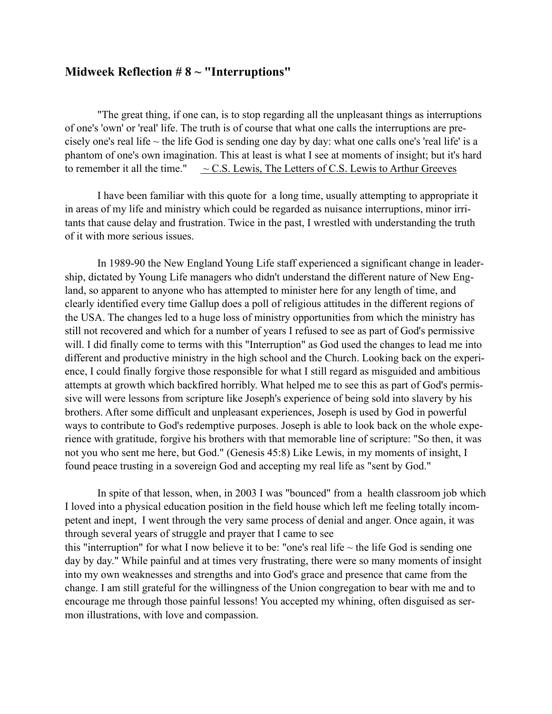## **Midweek Reflection # 8 ~ "Interruptions"**

"The great thing, if one can, is to stop regarding all the unpleasant things as interruptions of one's 'own' or 'real' life. The truth is of course that what one calls the interruptions are precisely one's real life  $\sim$  the life God is sending one day by day: what one calls one's 'real life' is a phantom of one's own imagination. This at least is what I see at moments of insight; but it's hard to remember it all the time."  $\sim$  C.S. Lewis, The Letters of C.S. Lewis to Arthur Greeves

I have been familiar with this quote for a long time, usually attempting to appropriate it in areas of my life and ministry which could be regarded as nuisance interruptions, minor irritants that cause delay and frustration. Twice in the past, I wrestled with understanding the truth of it with more serious issues.

In 1989-90 the New England Young Life staff experienced a significant change in leadership, dictated by Young Life managers who didn't understand the different nature of New England, so apparent to anyone who has attempted to minister here for any length of time, and clearly identified every time Gallup does a poll of religious attitudes in the different regions of the USA. The changes led to a huge loss of ministry opportunities from which the ministry has still not recovered and which for a number of years I refused to see as part of God's permissive will. I did finally come to terms with this "Interruption" as God used the changes to lead me into different and productive ministry in the high school and the Church. Looking back on the experience, I could finally forgive those responsible for what I still regard as misguided and ambitious attempts at growth which backfired horribly. What helped me to see this as part of God's permissive will were lessons from scripture like Joseph's experience of being sold into slavery by his brothers. After some difficult and unpleasant experiences, Joseph is used by God in powerful ways to contribute to God's redemptive purposes. Joseph is able to look back on the whole experience with gratitude, forgive his brothers with that memorable line of scripture: "So then, it was not you who sent me here, but God." (Genesis 45:8) Like Lewis, in my moments of insight, I found peace trusting in a sovereign God and accepting my real life as "sent by God."

In spite of that lesson, when, in 2003 I was "bounced" from a health classroom job which I loved into a physical education position in the field house which left me feeling totally incompetent and inept, I went through the very same process of denial and anger. Once again, it was through several years of struggle and prayer that I came to see this "interruption" for what I now believe it to be: "one's real life  $\sim$  the life God is sending one day by day." While painful and at times very frustrating, there were so many moments of insight into my own weaknesses and strengths and into God's grace and presence that came from the change. I am still grateful for the willingness of the Union congregation to bear with me and to encourage me through those painful lessons! You accepted my whining, often disguised as sermon illustrations, with love and compassion.